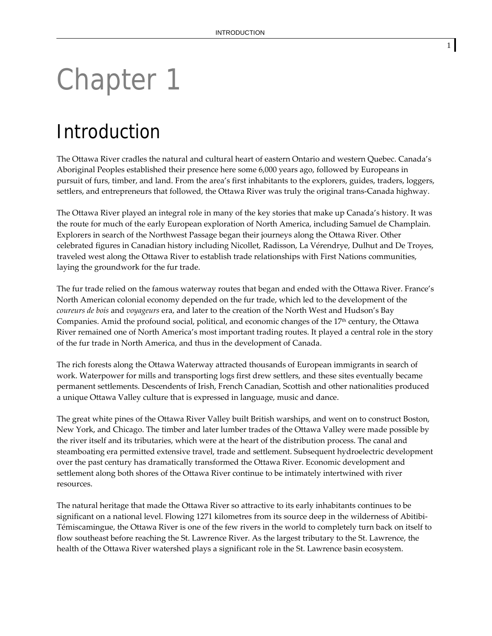# Chapter 1

## Introduction

The Ottawa River cradles the natural and cultural heart of eastern Ontario and western Quebec. Canada's Aboriginal Peoples established their presence here some 6,000 years ago, followed by Europeans in pursuit of furs, timber, and land. From the area's first inhabitants to the explorers, guides, traders, loggers, settlers, and entrepreneurs that followed, the Ottawa River was truly the original trans-Canada highway.

The Ottawa River played an integral role in many of the key stories that make up Canada's history. It was the route for much of the early European exploration of North America, including Samuel de Champlain. Explorers in search of the Northwest Passage began their journeys along the Ottawa River. Other celebrated figures in Canadian history including Nicollet, Radisson, La Vérendrye, Dulhut and De Troyes, traveled west along the Ottawa River to establish trade relationships with First Nations communities, laying the groundwork for the fur trade.

The fur trade relied on the famous waterway routes that began and ended with the Ottawa River. France's North American colonial economy depended on the fur trade, which led to the development of the *coureurs de bois* and *voyageurs* era, and later to the creation of the North West and Hudson's Bay Companies. Amid the profound social, political, and economic changes of the 17th century, the Ottawa River remained one of North America's most important trading routes. It played a central role in the story of the fur trade in North America, and thus in the development of Canada.

The rich forests along the Ottawa Waterway attracted thousands of European immigrants in search of work. Waterpower for mills and transporting logs first drew settlers, and these sites eventually became permanent settlements. Descendents of Irish, French Canadian, Scottish and other nationalities produced a unique Ottawa Valley culture that is expressed in language, music and dance.

The great white pines of the Ottawa River Valley built British warships, and went on to construct Boston, New York, and Chicago. The timber and later lumber trades of the Ottawa Valley were made possible by the river itself and its tributaries, which were at the heart of the distribution process. The canal and steamboating era permitted extensive travel, trade and settlement. Subsequent hydroelectric development over the past century has dramatically transformed the Ottawa River. Economic development and settlement along both shores of the Ottawa River continue to be intimately intertwined with river resources.

The natural heritage that made the Ottawa River so attractive to its early inhabitants continues to be significant on a national level. Flowing 1271 kilometres from its source deep in the wilderness of Abitibi-Témiscamingue, the Ottawa River is one of the few rivers in the world to completely turn back on itself to flow southeast before reaching the St. Lawrence River. As the largest tributary to the St. Lawrence, the health of the Ottawa River watershed plays a significant role in the St. Lawrence basin ecosystem.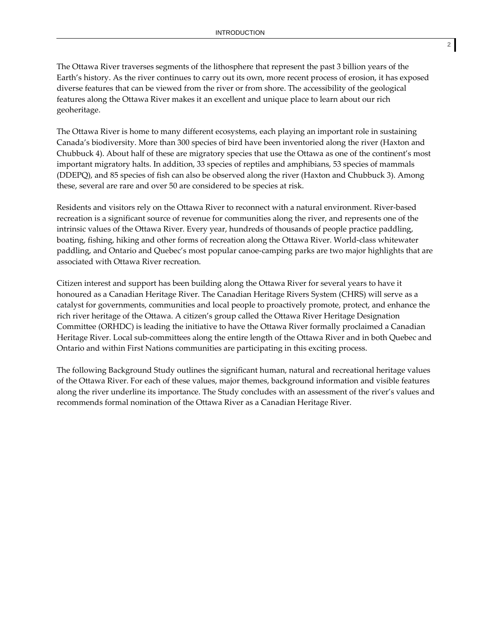The Ottawa River traverses segments of the lithosphere that represent the past 3 billion years of the Earth's history. As the river continues to carry out its own, more recent process of erosion, it has exposed diverse features that can be viewed from the river or from shore. The accessibility of the geological features along the Ottawa River makes it an excellent and unique place to learn about our rich geoheritage.

The Ottawa River is home to many different ecosystems, each playing an important role in sustaining Canada's biodiversity. More than 300 species of bird have been inventoried along the river (Haxton and Chubbuck 4). About half of these are migratory species that use the Ottawa as one of the continent's most important migratory halts. In addition, 33 species of reptiles and amphibians, 53 species of mammals (DDEPQ), and 85 species of fish can also be observed along the river (Haxton and Chubbuck 3). Among these, several are rare and over 50 are considered to be species at risk.

Residents and visitors rely on the Ottawa River to reconnect with a natural environment. River‐based recreation is a significant source of revenue for communities along the river, and represents one of the intrinsic values of the Ottawa River. Every year, hundreds of thousands of people practice paddling, boating, fishing, hiking and other forms of recreation along the Ottawa River. World‐class whitewater paddling, and Ontario and Quebec's most popular canoe‐camping parks are two major highlights that are associated with Ottawa River recreation.

Citizen interest and support has been building along the Ottawa River for several years to have it honoured as a Canadian Heritage River. The Canadian Heritage Rivers System (CHRS) will serve as a catalyst for governments, communities and local people to proactively promote, protect, and enhance the rich river heritage of the Ottawa. A citizen's group called the Ottawa River Heritage Designation Committee (ORHDC) is leading the initiative to have the Ottawa River formally proclaimed a Canadian Heritage River. Local sub‐committees along the entire length of the Ottawa River and in both Quebec and Ontario and within First Nations communities are participating in this exciting process.

The following Background Study outlines the significant human, natural and recreational heritage values of the Ottawa River. For each of these values, major themes, background information and visible features along the river underline its importance. The Study concludes with an assessment of the river's values and recommends formal nomination of the Ottawa River as a Canadian Heritage River.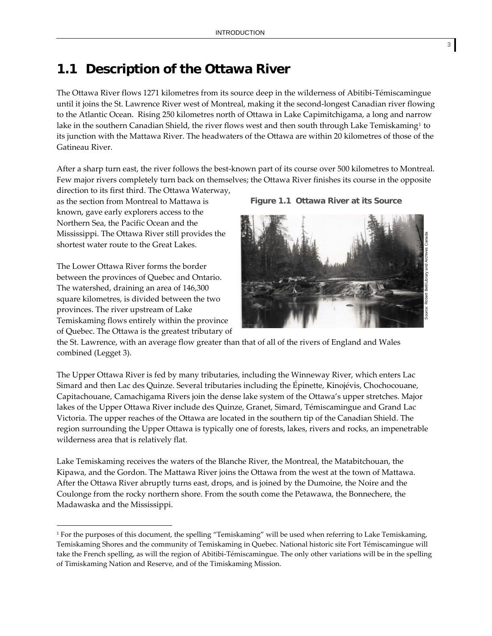### **1.1 Description of the Ottawa River**

The Ottawa River flows 1271 kilometres from its source deep in the wilderness of Abitibi‐Témiscamingue until it joins the St. Lawrence River west of Montreal, making it the second‐longest Canadian river flowing to the Atlantic Ocean. Rising 250 kilometres north of Ottawa in Lake Capimitchigama, a long and narrow lake in the southern Canadian Shield, the river flows west and then south through Lake Temiskaming<sup>[1](#page-2-0)</sup> to its junction with the Mattawa River. The headwaters of the Ottawa are within 20 kilometres of those of the Gatineau River.

After a sharp turn east, the river follows the best-known part of its course over 500 kilometres to Montreal. Few major rivers completely turn back on themselves; the Ottawa River finishes its course in the opposite

direction to its first third. The Ottawa Waterway, as the section from Montreal to Mattawa is known, gave early explorers access to the Northern Sea, the Pacific Ocean and the Mississippi. The Ottawa River still provides the shortest water route to the Great Lakes.

The Lower Ottawa River forms the border between the provinces of Quebec and Ontario. The watershed, draining an area of 146,300 square kilometres, is divided between the two provinces. The river upstream of Lake Temiskaming flows entirely within the province of Quebec. The Ottawa is the greatest tributary of

 $\overline{a}$ 

**Fig ure 1.1 Ottawa River at its Source**



the St. Lawrence, with an average flow greater than that of all of the rivers of England and Wales combined (Legget 3).

The Upper Ottawa River is fed by many tributaries, including the Winneway River, which enters Lac Simard and then Lac des Quinze. Several tributaries including the Épinette, Kinojévis, Chochocouane, Capitachouane, Camachigama Rivers join the dense lake system of the Ottawa's upper stretches. Major lakes of the Upper Ottawa River include des Quinze, Granet, Simard, Témiscamingue and Grand Lac Victoria. The upper reaches of the Ottawa are located in the southern tip of the Canadian Shield. The region surrounding the Upper Ottawa is typically one of forests, lakes, rivers and rocks, an impenetrable wilderness area that is relatively flat.

Lake Temiskaming receives the waters of the Blanche River, the Montreal, the Matabitchouan, the Kipawa, and the Gordon. The Mattawa River joins the Ottawa from the west at the town of Mattawa. After the Ottawa River abruptly turns east, drops, and is joined by the Dumoine, the Noire and the Coulonge from the rocky northern shore. From the south come the Petawawa, the Bonnechere, the Madawaska and the Mississippi.

<span id="page-2-0"></span><sup>1</sup> For the purposes of this document, the spelling "Temiskaming" will be used when referring to Lake Temiskaming, Temiskaming Shores and the community of Temiskaming in Quebec. National historic site Fort Témiscamingue will take the French spelling, as will the region of Abitibi-Témiscamingue. The only other variations will be in the spelling of Timiskaming Nation and Reserve, and of the Timiskaming Mission.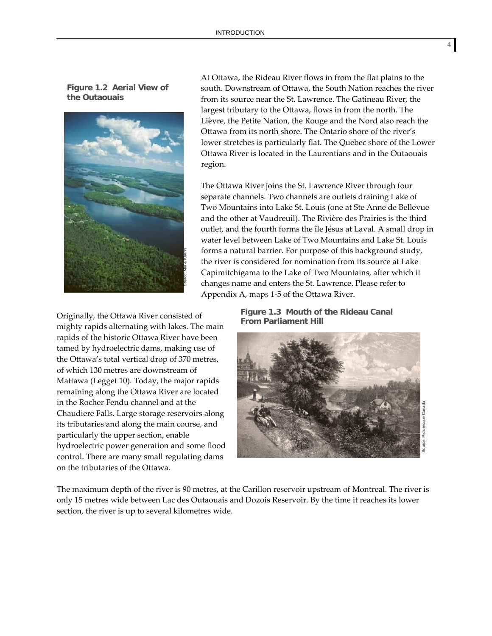**Figure 1.2 Aerial View of the Outaouais** 



At Ottawa, the Rideau River flows in from the flat plains to the south. Downstream of Ottawa, the South Nation reaches the river from its source near the St. Lawrence. The Gatineau River, the largest tributary to the Ottawa, flows in from the north. The Lièvre, the Petite Nation, the Rouge and the Nord also reach the Ottawa from its north shore. The Ontario shore of the river's lower stretches is particularly flat. The Quebec shore of the Lower Ottawa River is located in the Laurentians and in the Outaouais region.

The Ottawa River joins the St. Lawrence River through four separate channels. Two channels are outlets draining Lake of Two Mountains into Lake St. Louis (one at Ste Anne de Bellevue and the other at Vaudreuil). The Rivière des Prairies is the third outlet, and the fourth forms the île Jésus at Laval. A small drop in water level between Lake of Two Mountains and Lake St. Louis forms a natural barrier. For purpose of this background study, the river is considered for nomination from its source at Lake Capimitchigama to the Lake of Two Mountains, after which it changes name and enters the St. Lawrence. Please refer to Appendix A, maps 1‐5 of the Ottawa River.

**From Parliament Hill** Originally, the Ottawa River consisted of mighty rapids alternating with lakes. The main rapids of the historic Ottawa River have been tamed by hydroelectric dams, making use of the Ottawa's total vertical drop of 370 metres, of which 130 metres are downstream of Mattawa (Legget 10). Today, the major rapids remaining along the Ottawa River are located in the Rocher Fendu channel and at the Chaudiere Falls. Large storage reservoirs along its tributaries and along the main course, and particularly the upper section, enable hydroelectric power generation and some flood control. There are many small regulating dams on the tributaries of the Ottawa.

**Figure 1.3 Mouth of the Rideau Canal** 



The maximum depth of the river is 90 metres, at the Carillon reservoir upstream of Montreal. The river is only 15 metres wide between Lac des Outaouais and Dozois Reservoir. By the time it reaches its lower section, the river is up to several kilometres wide.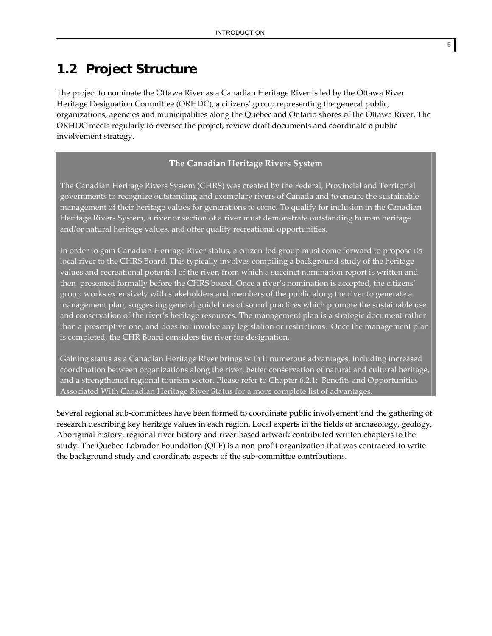## **1.2 Project Structure**

The project to nominate the Ottawa River as a Canadian Heritage River is led by the Ottawa River Heritage Designation Committee (ORHDC), a citizens' group representing the general public, organizations, agencies and municipalities along the Quebec and Ontario shores of the Ottawa River. The ORHDC meets regularly to oversee the project, review draft documents and coordinate a public involvement strategy.

#### **The Canadian Heritage Rivers System**

The Canadian Heritage Rivers System (CHRS) was created by the Federal, Provincial and Territorial governments to recognize outstanding and exemplary rivers of Canada and to ensure the sustainable management of their heritage values for generations to come. To qualify for inclusion in the Canadian Heritage Rivers System, a river or section of a river must demonstrate outstanding human heritage and/or natural heritage values, and offer quality recreational opportunities.

In order to gain Canadian Heritage River status, a citizen‐led group must come forward to propose its local river to the CHRS Board. This typically involves compiling a background study of the heritage values and recreational potential of the river, from which a succinct nomination report is written and then presented formally before the CHRS board. Once a river's nomination is accepted, the citizens' group works extensively with stakeholders and members of the public along the river to generate a management plan, suggesting general guidelines of sound practices which promote the sustainable use and conservation of the river's heritage resources. The management plan is a strategic document rather than a prescriptive one, and does not involve any legislation or restrictions. Once the management plan is completed, the CHR Board considers the river for designation.

Gaining status as a Canadian Heritage River brings with it numerous advantages, including increased coordination between organizations along the river, better conservation of natural and cultural heritage, and a strengthened regional tourism sector. Please refer to Chapter 6.2.1: Benefits and Opportunities Associated With Canadian Heritage River Status for a more complete list of advantages.

Several regional sub‐committees have been formed to coordinate public involvement and the gathering of research describing key heritage values in each region. Local experts in the fields of archaeology, geology, Aboriginal history, regional river history and river‐based artwork contributed written chapters to the study. The Quebec-Labrador Foundation (QLF) is a non-profit organization that was contracted to write the background study and coordinate aspects of the sub‐committee contributions.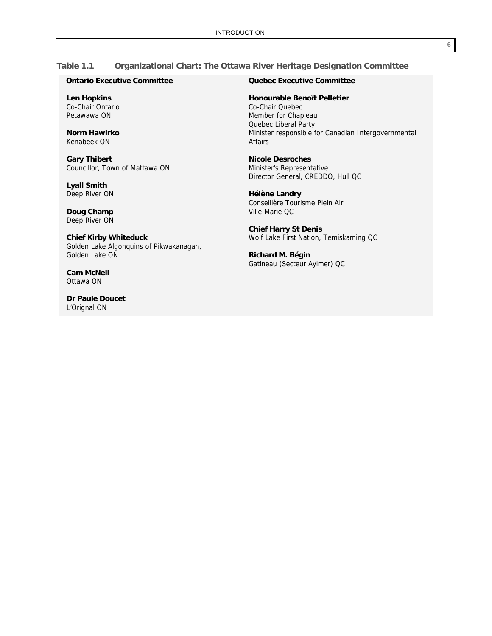#### **Table 1.1 Organizational Chart: The Ottawa River Heritage Designation Committee**

#### **Ontario Executive Committee**

 **Len Hopkins**  Co-Chair Ontario Petawawa ON

 **Norm Hawirko** Kenabeek ON

 **Gary Thibert** Councillor, Town of Mattawa ON

 **Lyall Smith** Deep River ON

 **Doug Champ**  Deep River ON

 **Chief Kirby Whiteduck** Golden Lake Algonquins of Pikwakanagan, Golden Lake ON

 **Cam McNeil** Ottawa ON

 **Dr Paule Doucet** L'Orignal ON

#### **Quebec Executive Committee**

**Honourable Benoît Pelletier**

 Co-Chair Quebec Member for Chapleau Quebec Liberal Party Minister responsible for Canadian Intergovernmental Affairs

**Nicole Desroches** Minister's Representative Director General, CREDDO, Hull QC

**Hélène Landry**  Conseillère Tourisme Plein Air Ville-Marie QC

**Chief Harry St Denis** Wolf Lake First Nation, Temiskaming QC

**Richard M. Bégin** Gatineau (Secteur Aylmer) QC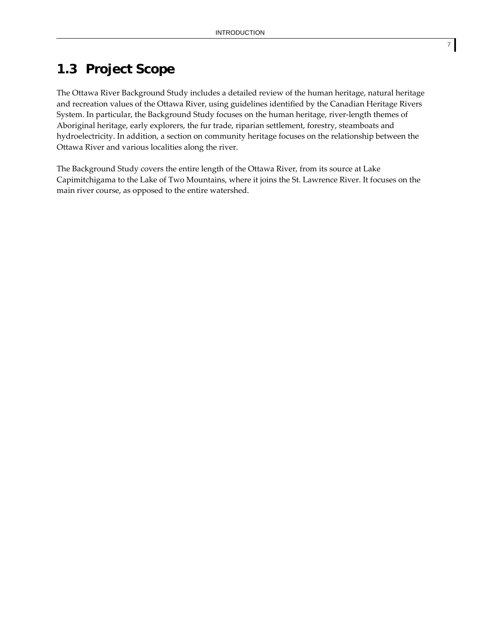## **1.3 Project Scope**

The Ottawa River Background Study includes a detailed review of the human heritage, natural heritage and recreation values of the Ottawa River, using guidelines identified by the Canadian Heritage Rivers System. In particular, the Background Study focuses on the human heritage, river‐length themes of Aboriginal heritage, early explorers, the fur trade, riparian settlement, forestry, steamboats and hydroelectricity. In addition, a section on community heritage focuses on the relationship between the Ottawa River and various localities along the river.

The Background Study covers the entire length of the Ottawa River, from its source at Lake Capimitchigama to the Lake of Two Mountains, where it joins the St. Lawrence River. It focuses on the main river course, as opposed to the entire watershed.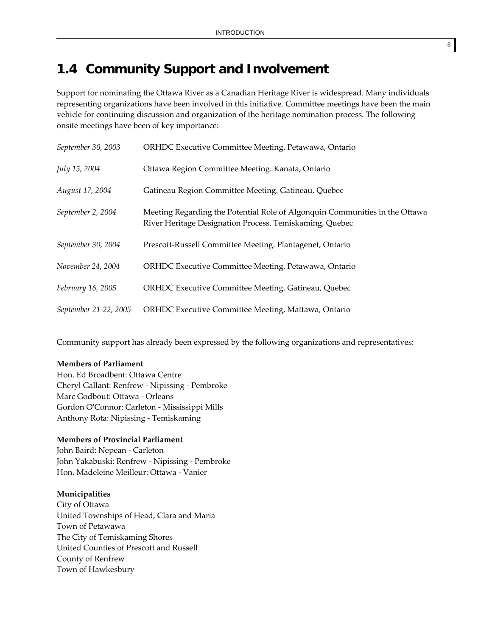## **1.4 Community Support and Involvement**

Support for nominating the Ottawa River as a Canadian Heritage River is widespread. Many individuals representing organizations have been involved in this initiative. Committee meetings have been the main vehicle for continuing discussion and organization of the heritage nomination process. The following onsite meetings have been of key importance:

| September 30, 2003    | ORHDC Executive Committee Meeting. Petawawa, Ontario                                                                                   |
|-----------------------|----------------------------------------------------------------------------------------------------------------------------------------|
| July 15, 2004         | Ottawa Region Committee Meeting. Kanata, Ontario                                                                                       |
| August 17, 2004       | Gatineau Region Committee Meeting. Gatineau, Quebec                                                                                    |
| September 2, 2004     | Meeting Regarding the Potential Role of Algonquin Communities in the Ottawa<br>River Heritage Designation Process. Temiskaming, Quebec |
| September 30, 2004    | Prescott-Russell Committee Meeting. Plantagenet, Ontario                                                                               |
| November 24, 2004     | ORHDC Executive Committee Meeting. Petawawa, Ontario                                                                                   |
| February 16, 2005     | ORHDC Executive Committee Meeting. Gatineau, Quebec                                                                                    |
| September 21-22, 2005 | ORHDC Executive Committee Meeting, Mattawa, Ontario                                                                                    |

Community support has already been expressed by the following organizations and representatives:

#### **Members of Parliament**

Hon. Ed Broadbent: Ottawa Centre Cheryl Gallant: Renfrew ‐ Nipissing ‐ Pembroke Marc Godbout: Ottawa ‐ Orleans Gordon OʹConnor: Carleton ‐ Mississippi Mills Anthony Rota: Nipissing ‐ Temiskaming

#### **Members of Provincial Parliament**

John Baird: Nepean ‐ Carleton John Yakabuski: Renfrew ‐ Nipissing ‐ Pembroke Hon. Madeleine Meilleur: Ottawa ‐ Vanier

#### **Municipalities**

City of Ottawa United Townships of Head, Clara and Maria Town of Petawawa The City of Temiskaming Shores United Counties of Prescott and Russell County of Renfrew Town of Hawkesbury